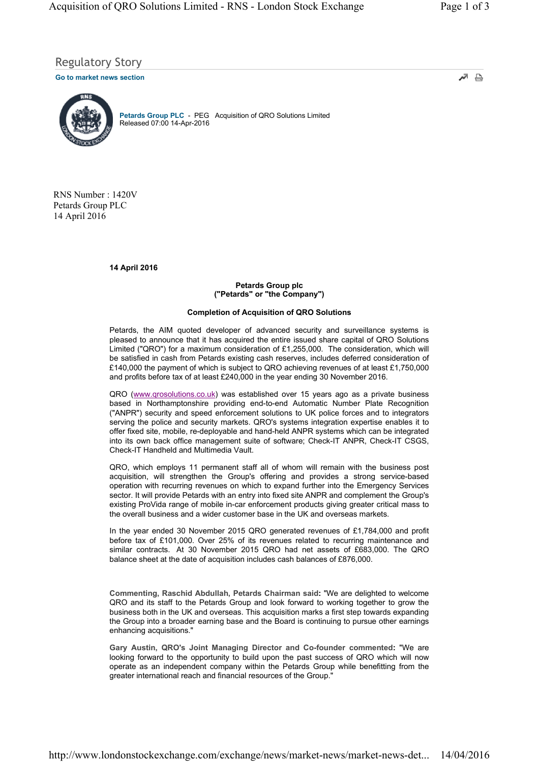Regulatory Story

**Go to market news section**



Petards Group PLC - PEG Acquisition of QRO Solutions Limited Released 07:00 14-Apr-2016

RNS Number : 1420V Petards Group PLC 14 April 2016

**14 April 2016**

## **Petards Group plc ("Petards" or "the Company")**

# **Completion of Acquisition of QRO Solutions**

Petards, the AIM quoted developer of advanced security and surveillance systems is pleased to announce that it has acquired the entire issued share capital of QRO Solutions Limited ("QRO") for a maximum consideration of £1,255,000. The consideration, which will be satisfied in cash from Petards existing cash reserves, includes deferred consideration of £140,000 the payment of which is subject to QRO achieving revenues of at least £1,750,000 and profits before tax of at least £240,000 in the year ending 30 November 2016.

QRO (www.qrosolutions.co.uk) was established over 15 years ago as a private business based in Northamptonshire providing end-to-end Automatic Number Plate Recognition ("ANPR") security and speed enforcement solutions to UK police forces and to integrators serving the police and security markets. QRO's systems integration expertise enables it to offer fixed site, mobile, re-deployable and hand-held ANPR systems which can be integrated into its own back office management suite of software; Check-IT ANPR, Check-IT CSGS, Check-IT Handheld and Multimedia Vault.

QRO, which employs 11 permanent staff all of whom will remain with the business post acquisition, will strengthen the Group's offering and provides a strong service-based operation with recurring revenues on which to expand further into the Emergency Services sector. It will provide Petards with an entry into fixed site ANPR and complement the Group's existing ProVida range of mobile in-car enforcement products giving greater critical mass to the overall business and a wider customer base in the UK and overseas markets.

In the year ended 30 November 2015 QRO generated revenues of £1,784,000 and profit before tax of £101,000. Over 25% of its revenues related to recurring maintenance and similar contracts. At 30 November 2015 QRO had net assets of £683,000. The QRO balance sheet at the date of acquisition includes cash balances of £876,000.

**Commenting, Raschid Abdullah, Petards Chairman said:** "We are delighted to welcome QRO and its staff to the Petards Group and look forward to working together to grow the business both in the UK and overseas. This acquisition marks a first step towards expanding the Group into a broader earning base and the Board is continuing to pursue other earnings enhancing acquisitions."

**Gary Austin, QRO's Joint Managing Director and Co-founder commented:** "We are looking forward to the opportunity to build upon the past success of QRO which will now operate as an independent company within the Petards Group while benefitting from the greater international reach and financial resources of the Group."

اتمر ₿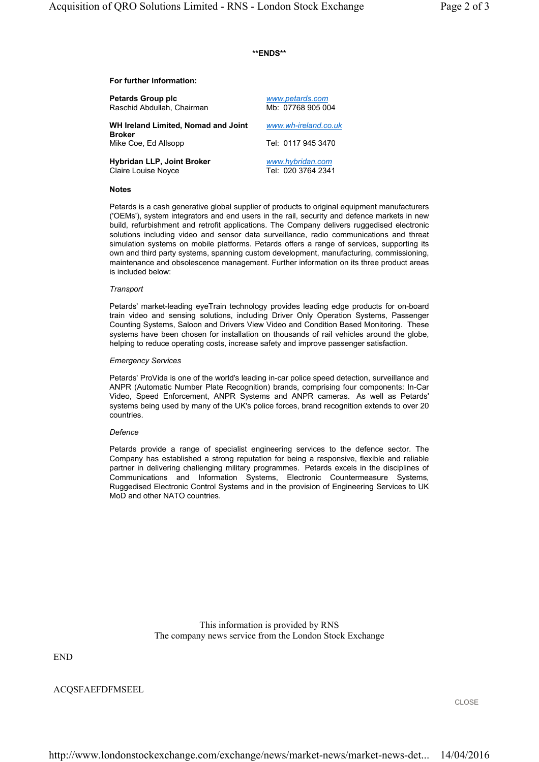# **\*\*ENDS\*\***

### **For further information:**

| Petards Group plc                             | www.petards.com      |
|-----------------------------------------------|----------------------|
| Raschid Abdullah, Chairman                    | Mb: 07768 905 004    |
| WH Ireland Limited, Nomad and Joint<br>Broker | www.wh-ireland.co.uk |
| Mike Coe, Ed Allsopp                          | Tel: 0117 945 3470   |
| Hybridan LLP, Joint Broker                    | www.hybridan.com     |
| Claire Louise Noyce                           | Tel: 020 3764 2341   |

### **Notes**

Petards is a cash generative global supplier of products to original equipment manufacturers ('OEMs'), system integrators and end users in the rail, security and defence markets in new build, refurbishment and retrofit applications. The Company delivers ruggedised electronic solutions including video and sensor data surveillance, radio communications and threat simulation systems on mobile platforms. Petards offers a range of services, supporting its own and third party systems, spanning custom development, manufacturing, commissioning, maintenance and obsolescence management. Further information on its three product areas is included below:

#### *Transport*

Petards' market-leading eyeTrain technology provides leading edge products for on-board train video and sensing solutions, including Driver Only Operation Systems, Passenger Counting Systems, Saloon and Drivers View Video and Condition Based Monitoring. These systems have been chosen for installation on thousands of rail vehicles around the globe, helping to reduce operating costs, increase safety and improve passenger satisfaction.

### *Emergency Services*

Petards' ProVida is one of the world's leading in-car police speed detection, surveillance and ANPR (Automatic Number Plate Recognition) brands, comprising four components: In-Car Video, Speed Enforcement, ANPR Systems and ANPR cameras. As well as Petards' systems being used by many of the UK's police forces, brand recognition extends to over 20 countries.

#### *Defence*

Petards provide a range of specialist engineering services to the defence sector. The Company has established a strong reputation for being a responsive, flexible and reliable partner in delivering challenging military programmes. Petards excels in the disciplines of Communications and Information Systems, Electronic Countermeasure Systems, Ruggedised Electronic Control Systems and in the provision of Engineering Services to UK MoD and other NATO countries.

> This information is provided by RNS The company news service from the London Stock Exchange

END

ACQSFAEFDFMSEEL

CLOSE